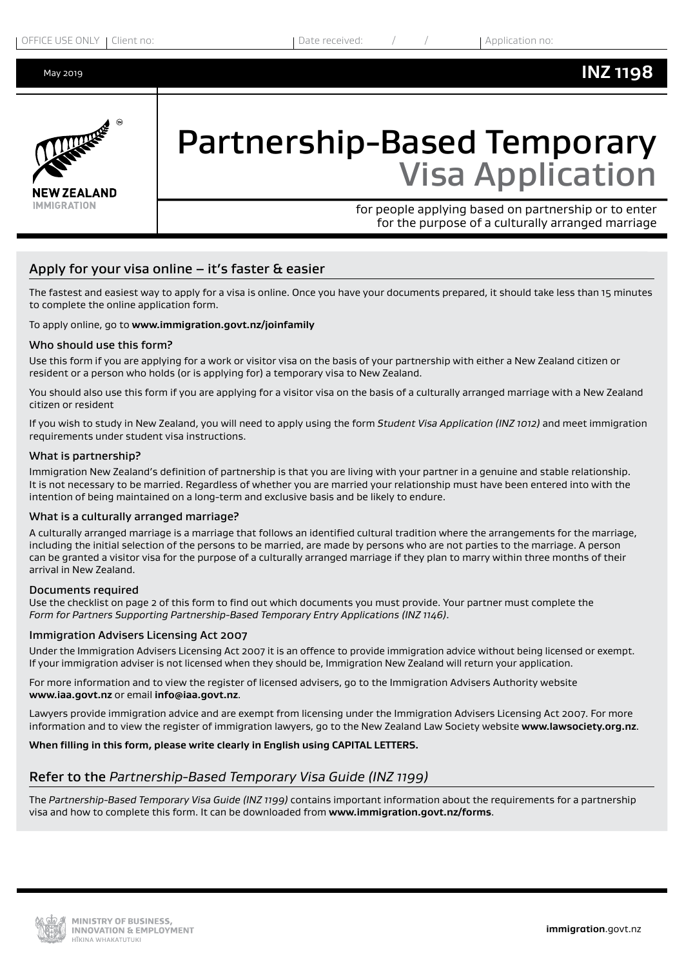# **INZ 1198**



# Partnership-Based Temporary Visa Application

for people applying based on partnership or to enter for the purpose of a culturally arranged marriage

# Apply for your visa online  $-$  it's faster & easier

The fastest and easiest way to apply for a visa is online. Once you have your documents prepared, it should take less than 15 minutes to complete the online application form.

#### To apply online, go to **www.immigration.govt.nz/joinfamily**

#### Who should use this form?

Use this form if you are applying for a work or visitor visa on the basis of your partnership with either a New Zealand citizen or resident or a person who holds (or is applying for) a temporary visa to New Zealand.

You should also use this form if you are applying for a visitor visa on the basis of a culturally arranged marriage with a New Zealand citizen or resident

If you wish to study in New Zealand, you will need to apply using the form *Student Visa Application (INZ 1012)* and meet immigration requirements under student visa instructions.

#### What is partnership?

Immigration New Zealand's definition of partnership is that you are living with your partner in a genuine and stable relationship. It is not necessary to be married. Regardless of whether you are married your relationship must have been entered into with the intention of being maintained on a long-term and exclusive basis and be likely to endure.

#### What is a culturally arranged marriage?

A culturally arranged marriage is a marriage that follows an identified cultural tradition where the arrangements for the marriage, including the initial selection of the persons to be married, are made by persons who are not parties to the marriage. A person can be granted a visitor visa for the purpose of a culturally arranged marriage if they plan to marry within three months of their arrival in New Zealand.

#### Documents required

Use the checklist on page 2 of this form to find out which documents you must provide. Your partner must complete the *Form for Partners Supporting Partnership-Based Temporary Entry Applications (INZ 1146)*.

#### Immigration Advisers Licensing Act 2007

Under the Immigration Advisers Licensing Act 2007 it is an offence to provide immigration advice without being licensed or exempt. If your immigration adviser is not licensed when they should be, Immigration New Zealand will return your application.

For more information and to view the register of licensed advisers, go to the Immigration Advisers Authority website **www.iaa.govt.nz** or email **info@iaa.govt.nz**.

Lawyers provide immigration advice and are exempt from licensing under the Immigration Advisers Licensing Act 2007. For more information and to view the register of immigration lawyers, go to the New Zealand Law Society website **www.lawsociety.org.nz**.

#### **When filling in this form, please write clearly in English using CAPITAL LETTERS.**

# Refer to the *Partnership-Based Temporary Visa Guide (INZ 1199)*

The *Partnership-Based Temporary Visa Guide (INZ 1199)* contains important information about the requirements for a partnership visa and how to complete this form. It can be downloaded from **www.immigration.govt.nz/forms**.

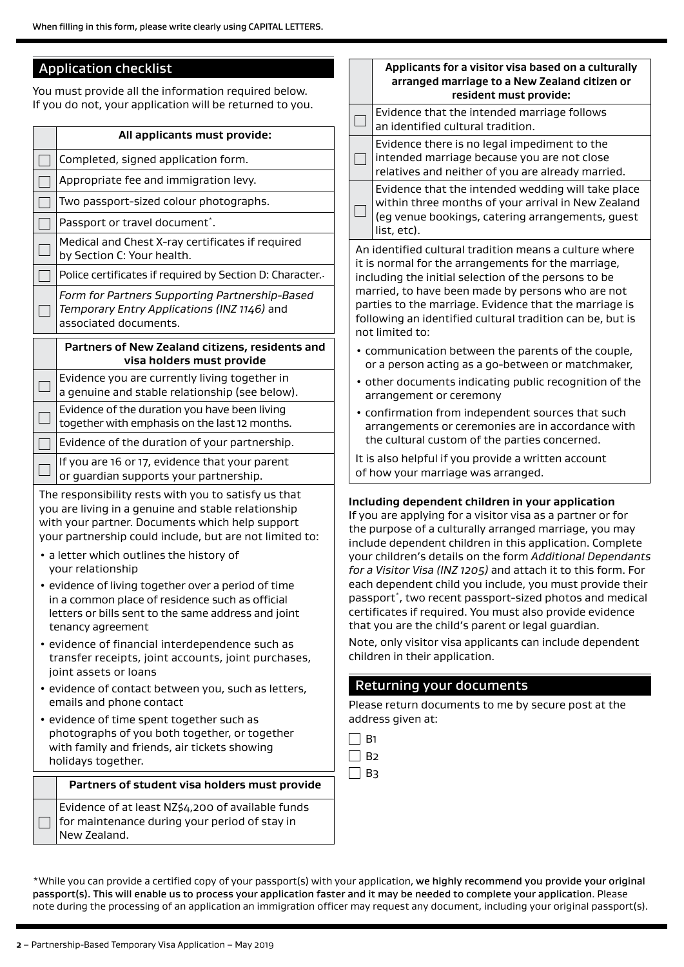# Application checklist

You must provide all the information required below. If you do not, your application will be returned to you.

|                                                                                                                                                                                    | All applicants must provide:                                                                                                                                                                                              | ى                                           | an i                                                |  |  |  |
|------------------------------------------------------------------------------------------------------------------------------------------------------------------------------------|---------------------------------------------------------------------------------------------------------------------------------------------------------------------------------------------------------------------------|---------------------------------------------|-----------------------------------------------------|--|--|--|
|                                                                                                                                                                                    |                                                                                                                                                                                                                           |                                             | Evic                                                |  |  |  |
|                                                                                                                                                                                    | Completed, signed application form.                                                                                                                                                                                       |                                             | inte<br>rela                                        |  |  |  |
|                                                                                                                                                                                    | Appropriate fee and immigration levy.                                                                                                                                                                                     |                                             |                                                     |  |  |  |
|                                                                                                                                                                                    | Two passport-sized colour photographs.                                                                                                                                                                                    |                                             | with<br>(eg·                                        |  |  |  |
|                                                                                                                                                                                    | Passport or travel document*.                                                                                                                                                                                             |                                             | list,                                               |  |  |  |
|                                                                                                                                                                                    | Medical and Chest X-ray certificates if required<br>by Section C: Your health.                                                                                                                                            | An iden<br>it is nor<br>includin<br>married |                                                     |  |  |  |
|                                                                                                                                                                                    | Police certificates if required by Section D: Character.                                                                                                                                                                  |                                             |                                                     |  |  |  |
|                                                                                                                                                                                    | Form for Partners Supporting Partnership-Based<br>Temporary Entry Applications (INZ 1146) and<br>associated documents.                                                                                                    |                                             |                                                     |  |  |  |
|                                                                                                                                                                                    | Partners of New Zealand citizens, residents and<br>visa holders must provide                                                                                                                                              |                                             | • comm<br>or a p                                    |  |  |  |
|                                                                                                                                                                                    | Evidence you are currently living together in<br>a genuine and stable relationship (see below).                                                                                                                           |                                             | • other<br>arrang                                   |  |  |  |
|                                                                                                                                                                                    | Evidence of the duration you have been living<br>together with emphasis on the last 12 months.                                                                                                                            |                                             | • confir<br>arrang                                  |  |  |  |
|                                                                                                                                                                                    | Evidence of the duration of your partnership.                                                                                                                                                                             |                                             | the cu                                              |  |  |  |
|                                                                                                                                                                                    | If you are 16 or 17, evidence that your parent<br>or guardian supports your partnership.                                                                                                                                  |                                             | It is also<br>of how                                |  |  |  |
|                                                                                                                                                                                    | The responsibility rests with you to satisfy us that<br>you are living in a genuine and stable relationship<br>with your partner. Documents which help support<br>your partnership could include, but are not limited to: |                                             | Including<br>If you are<br>the purp<br>include d    |  |  |  |
|                                                                                                                                                                                    | • a letter which outlines the history of<br>your relationship                                                                                                                                                             |                                             | your child<br>for a Visi                            |  |  |  |
| • evidence of living together over a period of time<br>in a common place of residence such as official<br>letters or bills sent to the same address and joint<br>tenancy agreement |                                                                                                                                                                                                                           |                                             |                                                     |  |  |  |
| · evidence of financial interdependence such as<br>transfer receipts, joint accounts, joint purchases,<br>joint assets or loans                                                    |                                                                                                                                                                                                                           |                                             |                                                     |  |  |  |
| · evidence of contact between you, such as letters,<br>emails and phone contact                                                                                                    |                                                                                                                                                                                                                           | Returr<br>Please re                         |                                                     |  |  |  |
|                                                                                                                                                                                    | • evidence of time spent together such as<br>photographs of you both together, or together<br>with family and friends, air tickets showing<br>holidays together.                                                          |                                             | address<br><b>B1</b><br><b>B2</b><br>B <sub>3</sub> |  |  |  |
|                                                                                                                                                                                    | Partners of student visa holders must provide                                                                                                                                                                             |                                             |                                                     |  |  |  |
|                                                                                                                                                                                    | Evidence of at least NZ\$4,200 of available funds<br>for maintenance during your period of stay in<br>New Zealand.                                                                                                        |                                             |                                                     |  |  |  |

# **Applicants for a visitor visa based on a culturally arranged marriage to a New Zealand citizen or resident must provide:** Evidence that the intended marriage follows dentified cultural tradition. lence there is no legal impediment to the nded marriage because you are not close itives and neither of you are already married. lence that the intended wedding will take place hin three months of your arrival in New Zealand venue bookings, catering arrangements, guest etc). Itified cultural tradition means a culture where mal for the arrangements for the marriage, ig the initial selection of the persons to be l, to have been made by persons who are not to the marriage. Evidence that the marriage is ng an identified cultural tradition can be, but is ited to: hunication between the parents of the couple, erson acting as a go-between or matchmaker, documents indicating public recognition of the gement or ceremony mation from independent sources that such gements or ceremonies are in accordance with  $1$ ultural custom of the parties concerned. o helpful if you provide a written account vour marriage was arranged. **Including dependent children in your application** e applying for a visitor visa as a partner or for ose of a culturally arranged marriage, you may lependent children in this application. Complete dren's details on the form *Additional Dependants for a Visitor Visa (INZ 1205)* and attach it to this form. For endent child you include, you must provide their  $\dot{\ }$ , two recent passport-sized photos and medical tes if required. You must also provide evidence are the child's parent or legal guardian. ly visitor visa applicants can include dependent in their application.

# hing your documents

turn documents to me by secure post at the given at:

\*While you can provide a certified copy of your passport(s) with your application, we highly recommend you provide your original passport(s). This will enable us to process your application faster and it may be needed to complete your application. Please note during the processing of an application an immigration officer may request any document, including your original passport(s).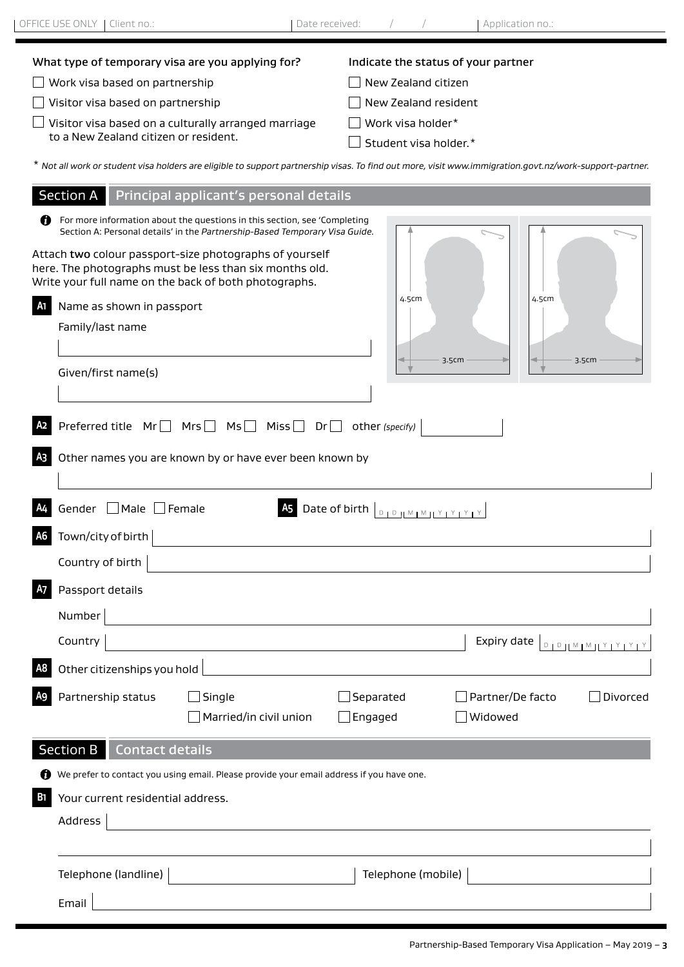| OFFICE USE ONLY   Client no.:                  |                                                                                                                                                                                                                                                                                                                                         | Date received:                                                       | Application no.:                                                |          |
|------------------------------------------------|-----------------------------------------------------------------------------------------------------------------------------------------------------------------------------------------------------------------------------------------------------------------------------------------------------------------------------------------|----------------------------------------------------------------------|-----------------------------------------------------------------|----------|
| Work visa based on partnership                 | What type of temporary visa are you applying for?                                                                                                                                                                                                                                                                                       | Indicate the status of your partner<br>New Zealand citizen           |                                                                 |          |
| Visitor visa based on partnership              |                                                                                                                                                                                                                                                                                                                                         | New Zealand resident                                                 |                                                                 |          |
| to a New Zealand citizen or resident.          | Visitor visa based on a culturally arranged marriage                                                                                                                                                                                                                                                                                    | Work visa holder*<br>Student visa holder.*                           |                                                                 |          |
|                                                | * Not all work or student visa holders are eligible to support partnership visas. To find out more, visit www.immigration.govt.nz/work-support-partner.                                                                                                                                                                                 |                                                                      |                                                                 |          |
|                                                | Section A Principal applicant's personal details                                                                                                                                                                                                                                                                                        |                                                                      |                                                                 |          |
| Name as shown in passport                      | For more information about the questions in this section, see 'Completing<br>Section A: Personal details' in the Partnership-Based Temporary Visa Guide.<br>Attach two colour passport-size photographs of yourself<br>here. The photographs must be less than six months old.<br>Write your full name on the back of both photographs. | 4.5cm                                                                | 4.5cm                                                           |          |
| Family/last name                               |                                                                                                                                                                                                                                                                                                                                         |                                                                      |                                                                 |          |
| Given/first name(s)                            |                                                                                                                                                                                                                                                                                                                                         |                                                                      | 3.5cm                                                           | 3.5cm    |
| Gender Male Female<br>Town/city of birth<br>A6 | Other names you are known by or have ever been known by                                                                                                                                                                                                                                                                                 | Date of birth $\boxed{\text{open}_1 \text{loop} \times \text{loop}}$ |                                                                 |          |
| Country of birth                               |                                                                                                                                                                                                                                                                                                                                         |                                                                      |                                                                 |          |
| Passport details<br>Number                     |                                                                                                                                                                                                                                                                                                                                         |                                                                      |                                                                 |          |
| Country                                        |                                                                                                                                                                                                                                                                                                                                         |                                                                      | Expiry date $\vert_{\text{DIPHMMI} \times 1 \times 1 \times 1}$ |          |
| Other citizenships you hold<br>A8              |                                                                                                                                                                                                                                                                                                                                         |                                                                      |                                                                 |          |
| Partnership status                             | $\Box$ Single<br>$\Box$ Married/in civil union                                                                                                                                                                                                                                                                                          | Separated<br>$\Box$ Engaged                                          | Partner/De facto<br>Widowed                                     | Divorced |
| <b>Section B</b><br><b>Contact details</b>     |                                                                                                                                                                                                                                                                                                                                         |                                                                      |                                                                 |          |
|                                                | We prefer to contact you using email. Please provide your email address if you have one.                                                                                                                                                                                                                                                |                                                                      |                                                                 |          |
| Your current residential address.<br>ы         |                                                                                                                                                                                                                                                                                                                                         |                                                                      |                                                                 |          |
| Address                                        |                                                                                                                                                                                                                                                                                                                                         |                                                                      |                                                                 |          |

Telephone (landline) **Telephone (mobile)** Telephone (mobile) **Telephone (mobile)** 

Email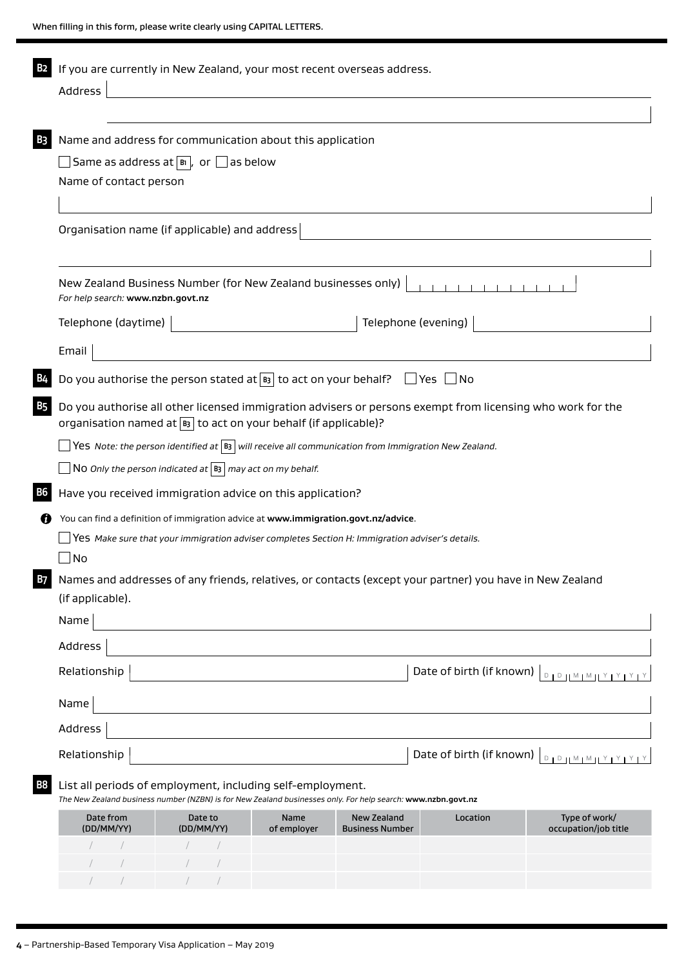| <b>B2</b> | If you are currently in New Zealand, your most recent overseas address.                                                                                                            |  |  |  |  |  |  |
|-----------|------------------------------------------------------------------------------------------------------------------------------------------------------------------------------------|--|--|--|--|--|--|
|           | Address                                                                                                                                                                            |  |  |  |  |  |  |
|           |                                                                                                                                                                                    |  |  |  |  |  |  |
| B3        | Name and address for communication about this application                                                                                                                          |  |  |  |  |  |  |
|           | Same as address at $ \mathbb{B} $ , or $\Box$ as below                                                                                                                             |  |  |  |  |  |  |
|           | Name of contact person                                                                                                                                                             |  |  |  |  |  |  |
|           |                                                                                                                                                                                    |  |  |  |  |  |  |
|           | Organisation name (if applicable) and address                                                                                                                                      |  |  |  |  |  |  |
|           |                                                                                                                                                                                    |  |  |  |  |  |  |
|           | New Zealand Business Number (for New Zealand businesses only)<br>For help search: www.nzbn.govt.nz                                                                                 |  |  |  |  |  |  |
|           | Telephone (evening)<br>Telephone (daytime)                                                                                                                                         |  |  |  |  |  |  |
|           | Email                                                                                                                                                                              |  |  |  |  |  |  |
|           | Do you authorise the person stated at $\boxed{B}$ to act on your behalf? $\boxed{\phantom{a}}$ Yes $\boxed{\phantom{a}}$ No                                                        |  |  |  |  |  |  |
| B5        | Do you authorise all other licensed immigration advisers or persons exempt from licensing who work for the<br>organisation named at $ B_3 $ to act on your behalf (if applicable)? |  |  |  |  |  |  |
|           | Yes Note: the person identified at $ B_3 $ will receive all communication from Immigration New Zealand.                                                                            |  |  |  |  |  |  |
|           | NO Only the person indicated at $ B_3 $ may act on my behalf.                                                                                                                      |  |  |  |  |  |  |
| B6        | Have you received immigration advice on this application?                                                                                                                          |  |  |  |  |  |  |
| 7         | You can find a definition of immigration advice at www.immigration.govt.nz/advice.                                                                                                 |  |  |  |  |  |  |
|           | Yes Make sure that your immigration adviser completes Section H: Immigration adviser's details.                                                                                    |  |  |  |  |  |  |
|           | No                                                                                                                                                                                 |  |  |  |  |  |  |
| B7        | Names and addresses of any friends, relatives, or contacts (except your partner) you have in New Zealand                                                                           |  |  |  |  |  |  |
|           | (if applicable).                                                                                                                                                                   |  |  |  |  |  |  |
|           | Name                                                                                                                                                                               |  |  |  |  |  |  |
|           | Address                                                                                                                                                                            |  |  |  |  |  |  |
|           | Date of birth (if known)<br>Relationship<br>$D + D + M + M + Y + Y + Y + Y$                                                                                                        |  |  |  |  |  |  |
|           | Name                                                                                                                                                                               |  |  |  |  |  |  |
|           | Address                                                                                                                                                                            |  |  |  |  |  |  |
|           | Date of birth (if known)<br>Relationship<br>$D + D + M + M + Y + Y + Y + Y$                                                                                                        |  |  |  |  |  |  |
| Β8        | List all periods of employment, including self-employment.<br>The New Zealand business number (NZBN) is for New Zealand businesses only. For help search: www.nzbn.govt.nz         |  |  |  |  |  |  |
|           | Date from<br>Date to<br>Name<br><b>New Zealand</b><br>Location<br>Type of work/<br>(DD/MM/YY)<br>(DD/MM/YY)<br>of employer<br><b>Business Number</b><br>occupation/job title       |  |  |  |  |  |  |
|           |                                                                                                                                                                                    |  |  |  |  |  |  |

/ / / /

 $\mathcal{N} = \mathcal{N} = \mathcal{N} = \mathcal{N} = \mathcal{N} = \mathcal{N} = \mathcal{N}$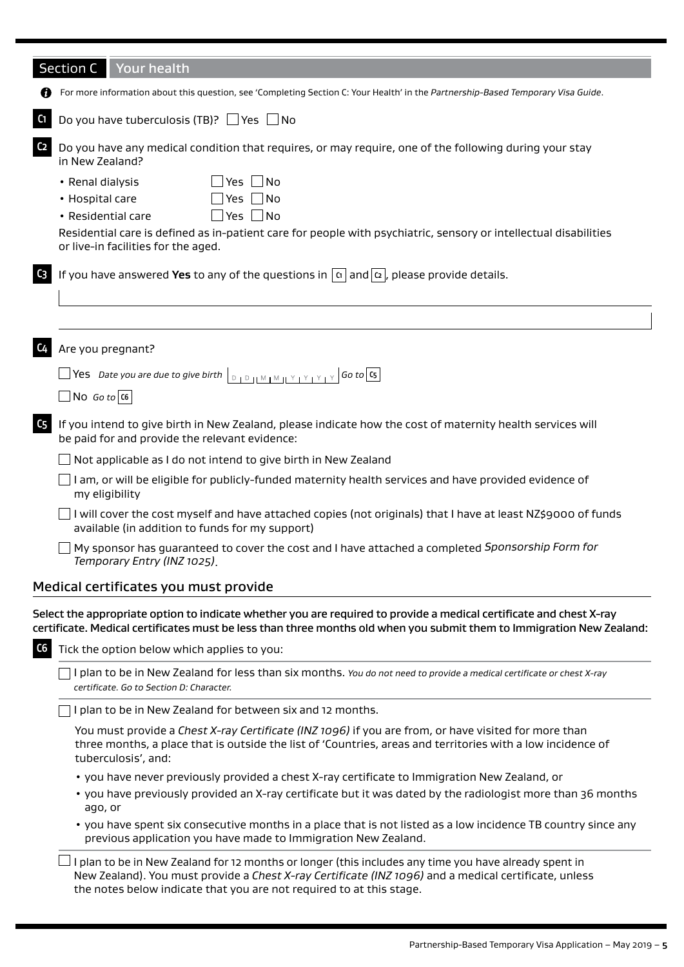|                | <b>Section C</b><br>Your health                                                                                                                                                                                                                                                        |  |  |  |  |  |
|----------------|----------------------------------------------------------------------------------------------------------------------------------------------------------------------------------------------------------------------------------------------------------------------------------------|--|--|--|--|--|
|                | For more information about this question, see 'Completing Section C: Your Health' in the Partnership-Based Temporary Visa Guide.                                                                                                                                                       |  |  |  |  |  |
| C <sub>1</sub> | Do you have tuberculosis (TB)? $\Box$ Yes $\Box$ No                                                                                                                                                                                                                                    |  |  |  |  |  |
| C <sub>2</sub> | Do you have any medical condition that requires, or may require, one of the following during your stay<br>in New Zealand?                                                                                                                                                              |  |  |  |  |  |
|                | Yes $\n  No\n$<br>• Renal dialysis                                                                                                                                                                                                                                                     |  |  |  |  |  |
|                | Yes $\n  No\n$<br>• Hospital care                                                                                                                                                                                                                                                      |  |  |  |  |  |
|                | Yes $\Box$ No<br>• Residential care                                                                                                                                                                                                                                                    |  |  |  |  |  |
|                | Residential care is defined as in-patient care for people with psychiatric, sensory or intellectual disabilities<br>or live-in facilities for the aged.                                                                                                                                |  |  |  |  |  |
| C <sub>3</sub> | If you have answered Yes to any of the questions in $ \alpha $ and $ \alpha $ , please provide details.                                                                                                                                                                                |  |  |  |  |  |
|                |                                                                                                                                                                                                                                                                                        |  |  |  |  |  |
|                |                                                                                                                                                                                                                                                                                        |  |  |  |  |  |
| C <sub>4</sub> | Are you pregnant?                                                                                                                                                                                                                                                                      |  |  |  |  |  |
|                | $\Box$ Yes Date you are due to give birth                                                                                                                                                                                                                                              |  |  |  |  |  |
|                | $\Box$ No <i>Go to</i> $\vert$ C6                                                                                                                                                                                                                                                      |  |  |  |  |  |
| C <sub>5</sub> | If you intend to give birth in New Zealand, please indicate how the cost of maternity health services will<br>be paid for and provide the relevant evidence:                                                                                                                           |  |  |  |  |  |
|                | Not applicable as I do not intend to give birth in New Zealand                                                                                                                                                                                                                         |  |  |  |  |  |
|                | I am, or will be eligible for publicly-funded maternity health services and have provided evidence of<br>my eligibility                                                                                                                                                                |  |  |  |  |  |
|                | I will cover the cost myself and have attached copies (not originals) that I have at least NZ\$9000 of funds<br>available (in addition to funds for my support)                                                                                                                        |  |  |  |  |  |
|                | My sponsor has guaranteed to cover the cost and I have attached a completed Sponsorship Form for<br>Temporary Entry (INZ 1025).                                                                                                                                                        |  |  |  |  |  |
|                | Medical certificates you must provide                                                                                                                                                                                                                                                  |  |  |  |  |  |
|                | Select the appropriate option to indicate whether you are required to provide a medical certificate and chest X-ray<br>certificate. Medical certificates must be less than three months old when you submit them to Immigration New Zealand:                                           |  |  |  |  |  |
| C6             | Tick the option below which applies to you:                                                                                                                                                                                                                                            |  |  |  |  |  |
|                | I plan to be in New Zealand for less than six months. You do not need to provide a medical certificate or chest X-ray<br>certificate. Go to Section D: Character.                                                                                                                      |  |  |  |  |  |
|                | I plan to be in New Zealand for between six and 12 months.                                                                                                                                                                                                                             |  |  |  |  |  |
|                | You must provide a Chest X-ray Certificate (INZ 1096) if you are from, or have visited for more than<br>three months, a place that is outside the list of 'Countries, areas and territories with a low incidence of<br>tuberculosis', and:                                             |  |  |  |  |  |
|                | • you have never previously provided a chest X-ray certificate to Immigration New Zealand, or                                                                                                                                                                                          |  |  |  |  |  |
|                | . you have previously provided an X-ray certificate but it was dated by the radiologist more than 36 months<br>ago, or                                                                                                                                                                 |  |  |  |  |  |
|                | • you have spent six consecutive months in a place that is not listed as a low incidence TB country since any<br>previous application you have made to Immigration New Zealand.                                                                                                        |  |  |  |  |  |
|                | I plan to be in New Zealand for 12 months or longer (this includes any time you have already spent in<br>New Zealand). You must provide a Chest X-ray Certificate (INZ 1096) and a medical certificate, unless<br>the notes below indicate that you are not required to at this stage. |  |  |  |  |  |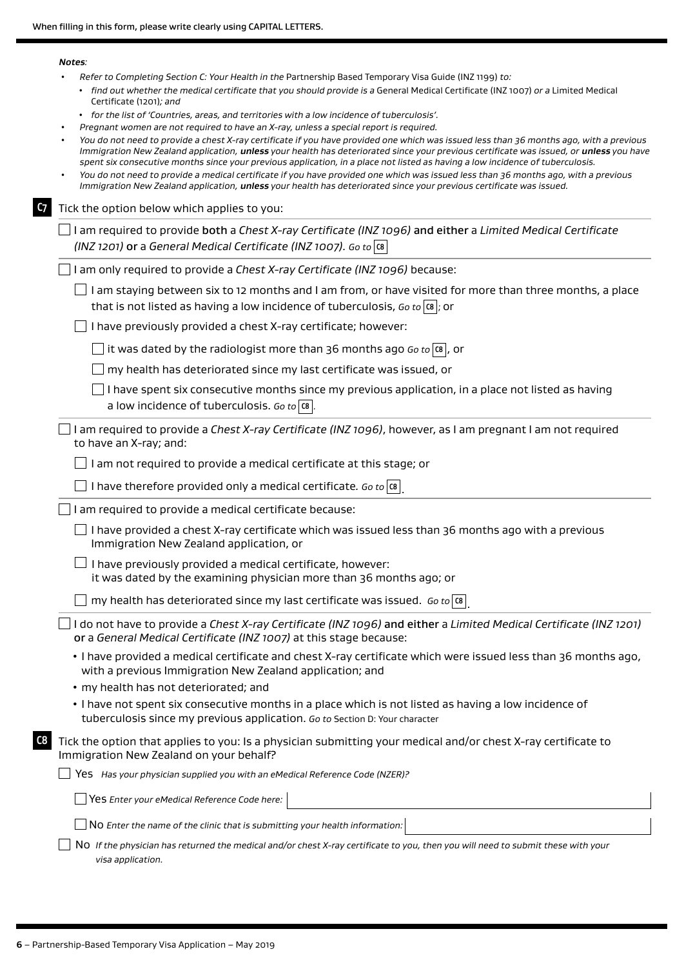|    | Notes:                                                                                                                                                                                                                                                                                                                                                                                                           |
|----|------------------------------------------------------------------------------------------------------------------------------------------------------------------------------------------------------------------------------------------------------------------------------------------------------------------------------------------------------------------------------------------------------------------|
|    | Refer to Completing Section C: Your Health in the Partnership Based Temporary Visa Guide (INZ 1199) to:<br>• find out whether the medical certificate that you should provide is a General Medical Certificate (INZ 1007) or a Limited Medical<br>Certificate (1201); and                                                                                                                                        |
|    | • for the list of 'Countries, areas, and territories with a low incidence of tuberculosis'.                                                                                                                                                                                                                                                                                                                      |
|    | Pregnant women are not required to have an X-ray, unless a special report is required.<br>You do not need to provide a chest X-ray certificate if you have provided one which was issued less than 36 months ago, with a previous                                                                                                                                                                                |
|    | Immigration New Zealand application, unless your health has deteriorated since your previous certificate was issued, or unless you have<br>spent six consecutive months since your previous application, in a place not listed as having a low incidence of tuberculosis.<br>You do not need to provide a medical certificate if you have provided one which was issued less than 36 months ago, with a previous |
|    | Immigration New Zealand application, unless your health has deteriorated since your previous certificate was issued.                                                                                                                                                                                                                                                                                             |
| C7 | Tick the option below which applies to you:                                                                                                                                                                                                                                                                                                                                                                      |
|    | I am required to provide both a Chest X-ray Certificate (INZ 1096) and either a Limited Medical Certificate<br>(INZ 1201) or a General Medical Certificate (INZ 1007). Go to $ \alpha $                                                                                                                                                                                                                          |
|    | I am only required to provide a Chest X-ray Certificate (INZ 1096) because:                                                                                                                                                                                                                                                                                                                                      |
|    | I am staying between six to 12 months and I am from, or have visited for more than three months, a place<br>that is not listed as having a low incidence of tuberculosis, Go to $ \alpha $ ; or                                                                                                                                                                                                                  |
|    | I have previously provided a chest X-ray certificate; however:                                                                                                                                                                                                                                                                                                                                                   |
|    | it was dated by the radiologist more than 36 months ago Go to $ \alpha $ , or                                                                                                                                                                                                                                                                                                                                    |
|    | my health has deteriorated since my last certificate was issued, or                                                                                                                                                                                                                                                                                                                                              |
|    | I have spent six consecutive months since my previous application, in a place not listed as having<br>a low incidence of tuberculosis. Go to $ \mathfrak{cs} $ .                                                                                                                                                                                                                                                 |
|    | I am required to provide a Chest X-ray Certificate (INZ 1096), however, as I am pregnant I am not required<br>to have an X-ray; and:                                                                                                                                                                                                                                                                             |
|    | I am not required to provide a medical certificate at this stage; or                                                                                                                                                                                                                                                                                                                                             |
|    | I have therefore provided only a medical certificate. Go to $ \mathfrak{a} $                                                                                                                                                                                                                                                                                                                                     |
|    | I am required to provide a medical certificate because:                                                                                                                                                                                                                                                                                                                                                          |
|    | I have provided a chest X-ray certificate which was issued less than 36 months ago with a previous<br>Immigration New Zealand application, or                                                                                                                                                                                                                                                                    |
|    | I have previously provided a medical certificate, however:<br>it was dated by the examining physician more than 36 months ago; or                                                                                                                                                                                                                                                                                |
|    | my health has deteriorated since my last certificate was issued. Go to [08]                                                                                                                                                                                                                                                                                                                                      |
|    | I do not have to provide a Chest X-ray Certificate (INZ 1096) and either a Limited Medical Certificate (INZ 1201)<br>or a General Medical Certificate (INZ 1007) at this stage because:                                                                                                                                                                                                                          |
|    | . I have provided a medical certificate and chest X-ray certificate which were issued less than 36 months ago,<br>with a previous Immigration New Zealand application; and                                                                                                                                                                                                                                       |
|    | • my health has not deteriorated; and                                                                                                                                                                                                                                                                                                                                                                            |
|    | . I have not spent six consecutive months in a place which is not listed as having a low incidence of<br>tuberculosis since my previous application. Go to Section D: Your character                                                                                                                                                                                                                             |
| C8 | Tick the option that applies to you: Is a physician submitting your medical and/or chest X-ray certificate to<br>Immigration New Zealand on your behalf?                                                                                                                                                                                                                                                         |
|    | Yes Has your physician supplied you with an eMedical Reference Code (NZER)?                                                                                                                                                                                                                                                                                                                                      |
|    | Yes Enter your eMedical Reference Code here:                                                                                                                                                                                                                                                                                                                                                                     |
|    | No Enter the name of the clinic that is submitting your health information:                                                                                                                                                                                                                                                                                                                                      |
|    | NO If the physician has returned the medical and/or chest X-ray certificate to you, then you will need to submit these with your<br>visa application.                                                                                                                                                                                                                                                            |
|    |                                                                                                                                                                                                                                                                                                                                                                                                                  |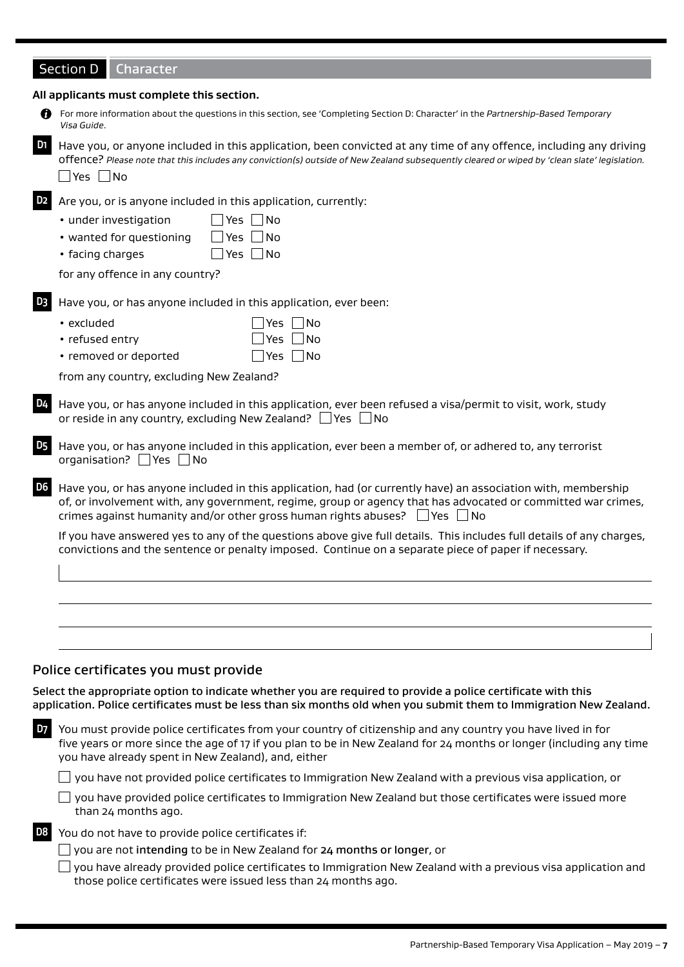# Section D Character

|                | All applicants must complete this section.                                                                                                                                                                                                                                                                            |
|----------------|-----------------------------------------------------------------------------------------------------------------------------------------------------------------------------------------------------------------------------------------------------------------------------------------------------------------------|
| n              | For more information about the questions in this section, see 'Completing Section D: Character' in the Partnership-Based Temporary<br>Visa Guide.                                                                                                                                                                     |
| D1             | Have you, or anyone included in this application, been convicted at any time of any offence, including any driving<br>offence? Please note that this includes any conviction(s) outside of New Zealand subsequently cleared or wiped by 'clean slate' legislation.<br>$\Box$ Yes $\Box$ No                            |
| D2             | Are you, or is anyone included in this application, currently:<br>Yes No<br>• under investigation<br>$\Box$ Yes $\Box$ No<br>• wanted for questioning<br>$Yes$ No<br>• facing charges                                                                                                                                 |
|                | for any offence in any country?                                                                                                                                                                                                                                                                                       |
| D <sub>3</sub> | Have you, or has anyone included in this application, ever been:<br>$ Yes $ $  No$<br>• excluded<br>  No<br>• refused entry<br>Yes<br>• removed or deported<br>_ Yes  __ No<br>from any country, excluding New Zealand?                                                                                               |
| D4             | Have you, or has anyone included in this application, ever been refused a visa/permit to visit, work, study<br>or reside in any country, excluding New Zealand? $\Box$ Yes $\Box$ No                                                                                                                                  |
| D <sub>5</sub> | Have you, or has anyone included in this application, ever been a member of, or adhered to, any terrorist<br>organisation? $\Box$ Yes $\Box$ No                                                                                                                                                                       |
| D6             | Have you, or has anyone included in this application, had (or currently have) an association with, membership<br>of, or involvement with, any government, regime, group or agency that has advocated or committed war crimes,<br>crimes against humanity and/or other gross human rights abuses? $\Box$ Yes $\Box$ No |
|                | If you have answered yes to any of the questions above give full details. This includes full details of any charges,<br>convictions and the sentence or penalty imposed. Continue on a separate piece of paper if necessary.                                                                                          |
|                |                                                                                                                                                                                                                                                                                                                       |
|                |                                                                                                                                                                                                                                                                                                                       |
|                |                                                                                                                                                                                                                                                                                                                       |
|                | Police certificates you must provide                                                                                                                                                                                                                                                                                  |
|                | Select the appropriate option to indicate whether you are required to provide a police certificate with this<br>application. Police certificates must be less than six months old when you submit them to Immigration New Zealand.                                                                                    |
| <b>D7</b>      | You must provide police certificates from your country of citizenship and any country you have lived in for<br>five years or more since the age of 17 if you plan to be in New Zealand for 24 months or longer (including any time<br>you have already spent in New Zealand), and, either                             |
|                | you have not provided police certificates to Immigration New Zealand with a previous visa application, or                                                                                                                                                                                                             |
|                | you have provided police certificates to Immigration New Zealand but those certificates were issued more<br>than 24 months ago.                                                                                                                                                                                       |
| D <sub>8</sub> | You do not have to provide police certificates if:                                                                                                                                                                                                                                                                    |

you are not intending to be in New Zealand for 24 months or longer, or

 $\Box$  you have already provided police certificates to Immigration New Zealand with a previous visa application and those police certificates were issued less than 24 months ago.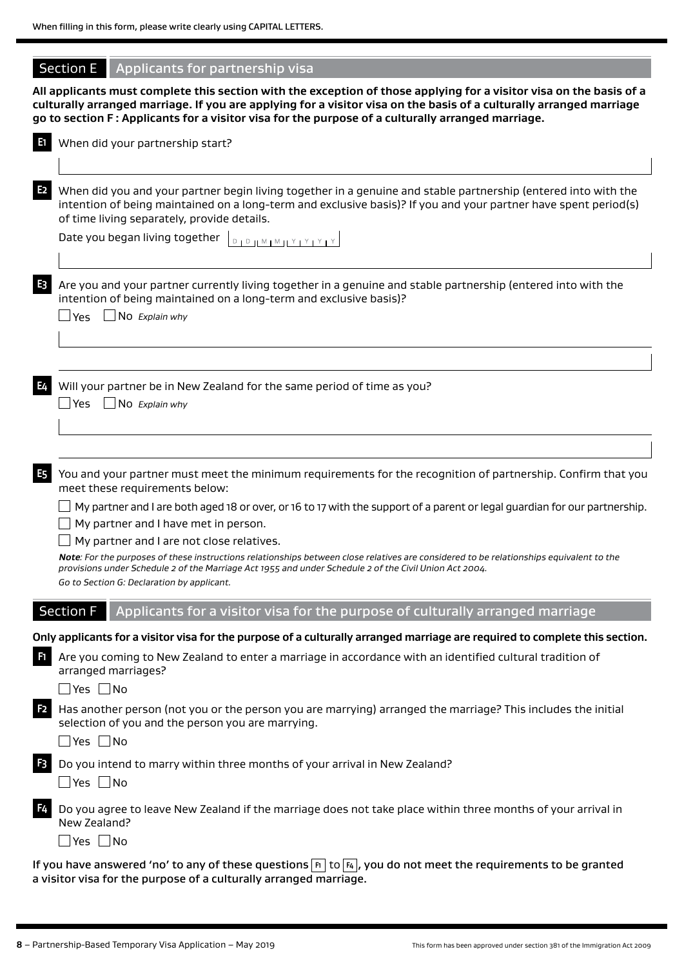# Section  $E$  Applicants for partnership visa

**All applicants must complete this section with the exception of those applying for a visitor visa on the basis of a culturally arranged marriage. If you are applying for a visitor visa on the basis of a culturally arranged marriage go to section F : Applicants for a visitor visa for the purpose of a culturally arranged marriage.**

| n              | When did your partnership start?                                                                                                                                                                                                                                                 |
|----------------|----------------------------------------------------------------------------------------------------------------------------------------------------------------------------------------------------------------------------------------------------------------------------------|
| E <sub>2</sub> | When did you and your partner begin living together in a genuine and stable partnership (entered into with the<br>intention of being maintained on a long-term and exclusive basis)? If you and your partner have spent period(s)<br>of time living separately, provide details. |
|                | Date you began living together $\left[ \begin{smallmatrix} 0 & 1 & 0 \ 0 & 1 & 0 \end{smallmatrix} \right]$ $\left[ \begin{smallmatrix} N+M+M+1 & 1 \ 1 & 1 & 1 \end{smallmatrix} \right]$                                                                                       |
| E <sub>3</sub> | Are you and your partner currently living together in a genuine and stable partnership (entered into with the<br>intention of being maintained on a long-term and exclusive basis)?                                                                                              |
|                | $\Box$ Yes $\Box$ No Explain why                                                                                                                                                                                                                                                 |
|                |                                                                                                                                                                                                                                                                                  |
| E4             | Will your partner be in New Zealand for the same period of time as you?<br>$\Box$ No Explain why<br>_∣ Yes                                                                                                                                                                       |
|                |                                                                                                                                                                                                                                                                                  |
| E <sub>5</sub> | You and your partner must meet the minimum requirements for the recognition of partnership. Confirm that you<br>meet these requirements below:                                                                                                                                   |
|                | My partner and I are both aged 18 or over, or 16 to 17 with the support of a parent or legal guardian for our partnership.                                                                                                                                                       |
|                | My partner and I have met in person.                                                                                                                                                                                                                                             |
|                | My partner and I are not close relatives.                                                                                                                                                                                                                                        |
|                | Note: For the purposes of these instructions relationships between close relatives are considered to be relationships equivalent to the<br>provisions under Schedule 2 of the Marriage Act 1955 and under Schedule 2 of the Civil Union Act 2004.                                |
|                | Go to Section G: Declaration by applicant.                                                                                                                                                                                                                                       |
|                | <b>Section F</b><br>Applicants for a visitor visa for the purpose of culturally arranged marriage                                                                                                                                                                                |
|                | Only applicants for a visitor visa for the purpose of a culturally arranged marriage are required to complete this section.                                                                                                                                                      |
| F1             | Are you coming to New Zealand to enter a marriage in accordance with an identified cultural tradition of<br>arranged marriages?                                                                                                                                                  |
|                | $\Box$ Yes $\Box$ No                                                                                                                                                                                                                                                             |
| F <sub>2</sub> | Has another person (not you or the person you are marrying) arranged the marriage? This includes the initial<br>selection of you and the person you are marrying.                                                                                                                |
|                | $\Box$ Yes $\Box$ No                                                                                                                                                                                                                                                             |
| $F_3$          | Do you intend to marry within three months of your arrival in New Zealand?                                                                                                                                                                                                       |
|                | $\Box$ Yes $\Box$ No                                                                                                                                                                                                                                                             |
| F4             | Do you agree to leave New Zealand if the marriage does not take place within three months of your arrival in<br>New Zealand?                                                                                                                                                     |
|                | $\Box$ Yes $\Box$ No                                                                                                                                                                                                                                                             |
|                | If you have answered 'no' to any of these questions $\overline{F_1}$ to $\overline{F_4}$ , you do not meet the requirements to be granted<br>a visitor visa for the purpose of a culturally arranged marriage.                                                                   |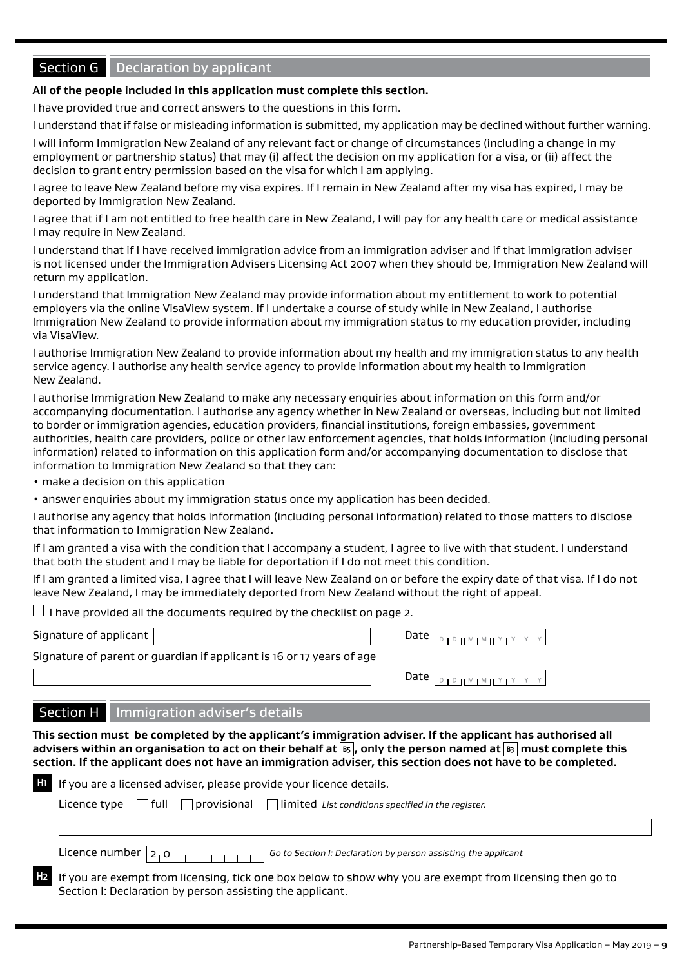# Section G Declaration by applicant

#### **All of the people included in this application must complete this section.**

I have provided true and correct answers to the questions in this form.

I understand that if false or misleading information is submitted, my application may be declined without further warning.

I will inform Immigration New Zealand of any relevant fact or change of circumstances (including a change in my employment or partnership status) that may (i) affect the decision on my application for a visa, or (ii) affect the decision to grant entry permission based on the visa for which I am applying.

I agree to leave New Zealand before my visa expires. If I remain in New Zealand after my visa has expired, I may be deported by Immigration New Zealand.

I agree that if I am not entitled to free health care in New Zealand, I will pay for any health care or medical assistance I may require in New Zealand.

I understand that if I have received immigration advice from an immigration adviser and if that immigration adviser is not licensed under the Immigration Advisers Licensing Act 2007 when they should be, Immigration New Zealand will return my application.

I understand that Immigration New Zealand may provide information about my entitlement to work to potential employers via the online VisaView system. If I undertake a course of study while in New Zealand, I authorise Immigration New Zealand to provide information about my immigration status to my education provider, including via VisaView.

I authorise Immigration New Zealand to provide information about my health and my immigration status to any health service agency. I authorise any health service agency to provide information about my health to Immigration New Zealand.

I authorise Immigration New Zealand to make any necessary enquiries about information on this form and/or accompanying documentation. I authorise any agency whether in New Zealand or overseas, including but not limited to border or immigration agencies, education providers, financial institutions, foreign embassies, government authorities, health care providers, police or other law enforcement agencies, that holds information (including personal information) related to information on this application form and/or accompanying documentation to disclose that information to Immigration New Zealand so that they can:

• make a decision on this application

• answer enquiries about my immigration status once my application has been decided.

I authorise any agency that holds information (including personal information) related to those matters to disclose that information to Immigration New Zealand.

If I am granted a visa with the condition that I accompany a student, I agree to live with that student. I understand that both the student and I may be liable for deportation if I do not meet this condition.

If I am granted a limited visa, I agree that I will leave New Zealand on or before the expiry date of that visa. If I do not leave New Zealand, I may be immediately deported from New Zealand without the right of appeal.

 $\Box$  I have provided all the documents required by the checklist on page 2.

Signature of applicant

Signature of parent or guardian if applicant is 16 or 17 years of age

Section I: Declaration by person assisting the applicant.

| Dafe I<br>יו⊻וצוו שושום די |  |
|----------------------------|--|
|----------------------------|--|

# Section H Immigration adviser's details

**This section must be completed by the applicant's immigration adviser. If the applicant has authorised all advisers within an organisation to act on their behalf at B5 , only the person named at B3 must complete this section. If the applicant does not have an immigration adviser, this section does not have to be completed.**

| <b>If</b> If you are a licensed adviser, please provide your licence details.                             |  |  |  |  |  |
|-----------------------------------------------------------------------------------------------------------|--|--|--|--|--|
| Licence type $\Box$ full $\Box$ provisional $\Box$ limited List conditions specified in the register.     |  |  |  |  |  |
|                                                                                                           |  |  |  |  |  |
| Go to Section I: Declaration by person assisting the applicant                                            |  |  |  |  |  |
| If you are exempt from licensing, tick one box below to show why you are exempt from licensing then go to |  |  |  |  |  |

Partnership-Based Temporary Visa Application – May 2019 – **9**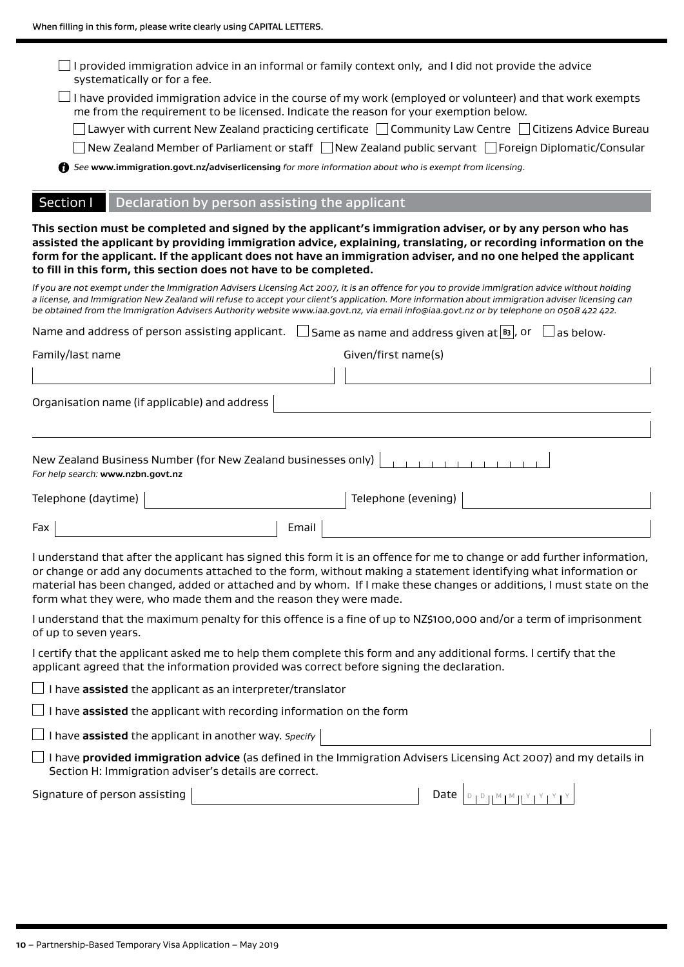| systematically or for a fee.                                                                                            | I provided immigration advice in an informal or family context only, and I did not provide the advice |       |                                                    |                                                                                                                                                                                                                                                                                                                                                                                                                                                 |  |  |
|-------------------------------------------------------------------------------------------------------------------------|-------------------------------------------------------------------------------------------------------|-------|----------------------------------------------------|-------------------------------------------------------------------------------------------------------------------------------------------------------------------------------------------------------------------------------------------------------------------------------------------------------------------------------------------------------------------------------------------------------------------------------------------------|--|--|
|                                                                                                                         | me from the requirement to be licensed. Indicate the reason for your exemption below.                 |       |                                                    | I have provided immigration advice in the course of my work (employed or volunteer) and that work exempts                                                                                                                                                                                                                                                                                                                                       |  |  |
| $\Box$ Lawyer with current New Zealand practicing certificate $\Box$ Community Law Centre $\Box$ Citizens Advice Bureau |                                                                                                       |       |                                                    |                                                                                                                                                                                                                                                                                                                                                                                                                                                 |  |  |
| New Zealand Member of Parliament or staff □ New Zealand public servant □ Foreign Diplomatic/Consular                    |                                                                                                       |       |                                                    |                                                                                                                                                                                                                                                                                                                                                                                                                                                 |  |  |
|                                                                                                                         | See www.immigration.govt.nz/adviserlicensing for more information about who is exempt from licensing. |       |                                                    |                                                                                                                                                                                                                                                                                                                                                                                                                                                 |  |  |
| Section I                                                                                                               | Declaration by person assisting the applicant                                                         |       |                                                    |                                                                                                                                                                                                                                                                                                                                                                                                                                                 |  |  |
|                                                                                                                         | to fill in this form, this section does not have to be completed.                                     |       |                                                    | This section must be completed and signed by the applicant's immigration adviser, or by any person who has<br>assisted the applicant by providing immigration advice, explaining, translating, or recording information on the<br>form for the applicant. If the applicant does not have an immigration adviser, and no one helped the applicant                                                                                                |  |  |
|                                                                                                                         |                                                                                                       |       |                                                    | If you are not exempt under the Immigration Advisers Licensing Act 2007, it is an offence for you to provide immigration advice without holding<br>a license, and Immigration New Zealand will refuse to accept your client's application. More information about immigration adviser licensing can<br>be obtained from the Immigration Advisers Authority website www.iaa.govt.nz, via email info@iaa.govt.nz or by telephone on 0508 422 422. |  |  |
|                                                                                                                         | Name and address of person assisting applicant.                                                       |       | Same as name and address given at $ B_3 $ , or $ $ | $\sqcup$ as below.                                                                                                                                                                                                                                                                                                                                                                                                                              |  |  |
| Family/last name                                                                                                        |                                                                                                       |       | Given/first name(s)                                |                                                                                                                                                                                                                                                                                                                                                                                                                                                 |  |  |
|                                                                                                                         |                                                                                                       |       |                                                    |                                                                                                                                                                                                                                                                                                                                                                                                                                                 |  |  |
|                                                                                                                         | Organisation name (if applicable) and address                                                         |       |                                                    |                                                                                                                                                                                                                                                                                                                                                                                                                                                 |  |  |
|                                                                                                                         |                                                                                                       |       |                                                    |                                                                                                                                                                                                                                                                                                                                                                                                                                                 |  |  |
| For help search: www.nzbn.govt.nz                                                                                       | New Zealand Business Number (for New Zealand businesses only)                                         |       |                                                    |                                                                                                                                                                                                                                                                                                                                                                                                                                                 |  |  |
| Telephone (daytime)                                                                                                     |                                                                                                       |       | Telephone (evening)                                |                                                                                                                                                                                                                                                                                                                                                                                                                                                 |  |  |
| Fax                                                                                                                     |                                                                                                       | Email |                                                    |                                                                                                                                                                                                                                                                                                                                                                                                                                                 |  |  |
|                                                                                                                         | form what they were, who made them and the reason they were made.                                     |       |                                                    | I understand that after the applicant has signed this form it is an offence for me to change or add further information,<br>or change or add any documents attached to the form, without making a statement identifying what information or<br>material has been changed, added or attached and by whom. If I make these changes or additions, I must state on the                                                                              |  |  |
| of up to seven years.                                                                                                   |                                                                                                       |       |                                                    | I understand that the maximum penalty for this offence is a fine of up to NZ\$100,000 and/or a term of imprisonment                                                                                                                                                                                                                                                                                                                             |  |  |
|                                                                                                                         | applicant agreed that the information provided was correct before signing the declaration.            |       |                                                    | I certify that the applicant asked me to help them complete this form and any additional forms. I certify that the                                                                                                                                                                                                                                                                                                                              |  |  |
|                                                                                                                         | $\Box$ I have <b>assisted</b> the applicant as an interpreter/translator                              |       |                                                    |                                                                                                                                                                                                                                                                                                                                                                                                                                                 |  |  |
|                                                                                                                         | $\Box$ I have $\mathop{\mathsf{assigned}}$ the applicant with recording information on the form       |       |                                                    |                                                                                                                                                                                                                                                                                                                                                                                                                                                 |  |  |
|                                                                                                                         | $\Box$ I have assisted the applicant in another way. Specify                                          |       |                                                    |                                                                                                                                                                                                                                                                                                                                                                                                                                                 |  |  |
|                                                                                                                         | Section H: Immigration adviser's details are correct.                                                 |       |                                                    | I have provided immigration advice (as defined in the Immigration Advisers Licensing Act 2007) and my details in                                                                                                                                                                                                                                                                                                                                |  |  |
| Signature of person assisting                                                                                           |                                                                                                       |       |                                                    |                                                                                                                                                                                                                                                                                                                                                                                                                                                 |  |  |
|                                                                                                                         |                                                                                                       |       |                                                    |                                                                                                                                                                                                                                                                                                                                                                                                                                                 |  |  |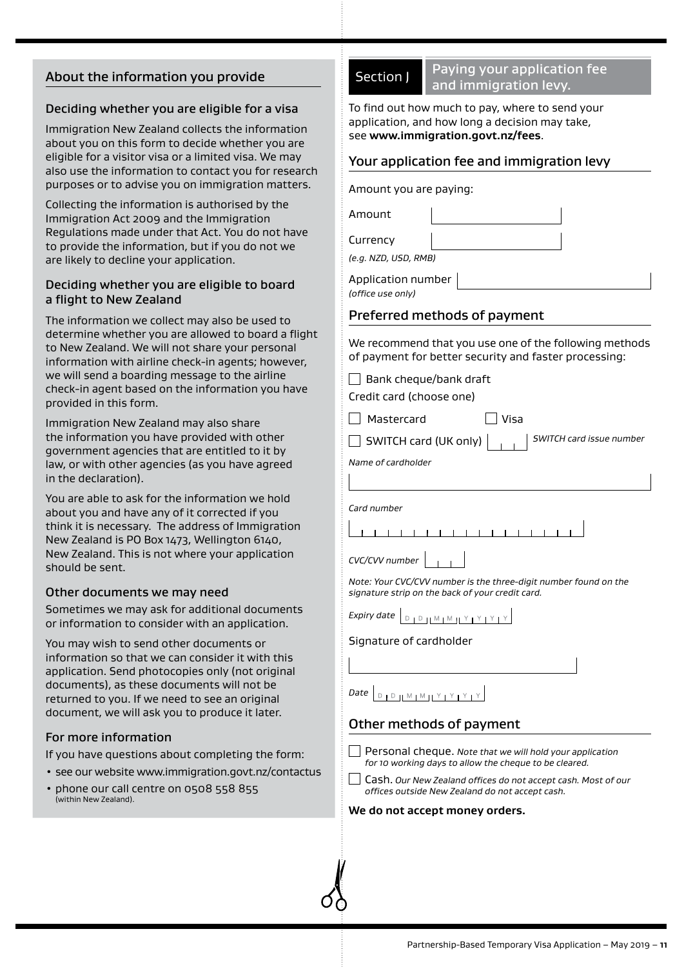# About the information you provide

#### Deciding whether you are eligible for a visa

Immigration New Zealand collects the information about you on this form to decide whether you are eligible for a visitor visa or a limited visa. We may also use the information to contact you for research purposes or to advise you on immigration matters.

Collecting the information is authorised by the Immigration Act 2009 and the Immigration Regulations made under that Act. You do not have to provide the information, but if you do not we are likely to decline your application.

#### Deciding whether you are eligible to board a flight to New Zealand

The information we collect may also be used to determine whether you are allowed to board a flight to New Zealand. We will not share your personal information with airline check-in agents; however, we will send a boarding message to the airline check-in agent based on the information you have provided in this form.

Immigration New Zealand may also share the information you have provided with other government agencies that are entitled to it by law, or with other agencies (as you have agreed in the declaration).

You are able to ask for the information we hold about you and have any of it corrected if you think it is necessary. The address of Immigration New Zealand is PO Box 1473, Wellington 6140, New Zealand. This is not where your application should be sent.

#### Other documents we may need

Sometimes we may ask for additional documents or information to consider with an application.

You may wish to send other documents or information so that we can consider it with this application. Send photocopies only (not original documents), as these documents will not be returned to you. If we need to see an original document, we will ask you to produce it later.

# For more information

If you have questions about completing the form:

- see our website www.immigration.govt.nz/contactus
- phone our call centre on 0508 558 855 (within New Zealand).

Section | Paying your application fee and immigration levy.

To find out how much to pay, where to send your application, and how long a decision may take, see **www.immigration.govt.nz/fees**.

## Your application fee and immigration levy

Amount you are paying:

Amount

Currency

*(e.g. NZD, USD, RMB)*

Application number *(office use only)*

# Preferred methods of payment

We recommend that you use one of the following methods of payment for better security and faster processing:

 $\Box$  Bank cheque/bank draft

Credit card (choose one) Mastercard Visa

SWITCH card (UK only) *SWITCH card issue number*

*Name of cardholder*

*Card number*

 $1 - 1 - 1 - 1$  $1 - 1 - 1 - 1 - 1$ 

*CVC/CVV number*

*Note: Your CVC/CVV number is the three-digit number found on the signature strip on the back of your credit card.*

*Expiry date*  $D + D + M + M + M + Y + Y + Z$ 

Signature of cardholder

|  | $\Box$ Date $\Box$ |  |  |
|--|--------------------|--|--|

# Other methods of payment

Personal cheque. *Note that we will hold your application for 10 working days to allow the cheque to be cleared.*

Cash. *Our New Zealand offices do not accept cash. Most of our offices outside New Zealand do not accept cash.*

#### **We do not accept money orders.**